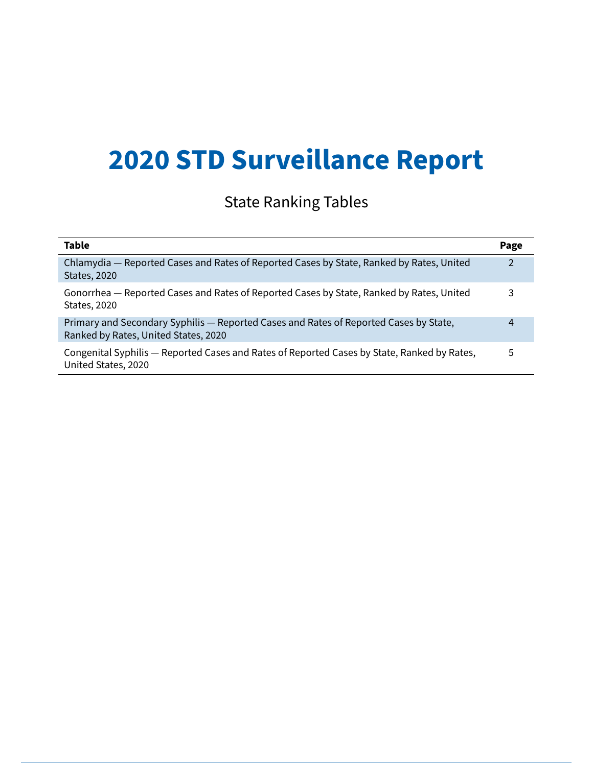# **2020 STD Surveillance Report**

## State Ranking Tables

| <b>Table</b>                                                                                                                  | Page |
|-------------------------------------------------------------------------------------------------------------------------------|------|
| Chlamydia - Reported Cases and Rates of Reported Cases by State, Ranked by Rates, United<br><b>States, 2020</b>               | 2    |
| Gonorrhea - Reported Cases and Rates of Reported Cases by State, Ranked by Rates, United<br><b>States, 2020</b>               | 3    |
| Primary and Secondary Syphilis - Reported Cases and Rates of Reported Cases by State,<br>Ranked by Rates, United States, 2020 | 4    |
| Congenital Syphilis - Reported Cases and Rates of Reported Cases by State, Ranked by Rates,<br>United States, 2020            | 5    |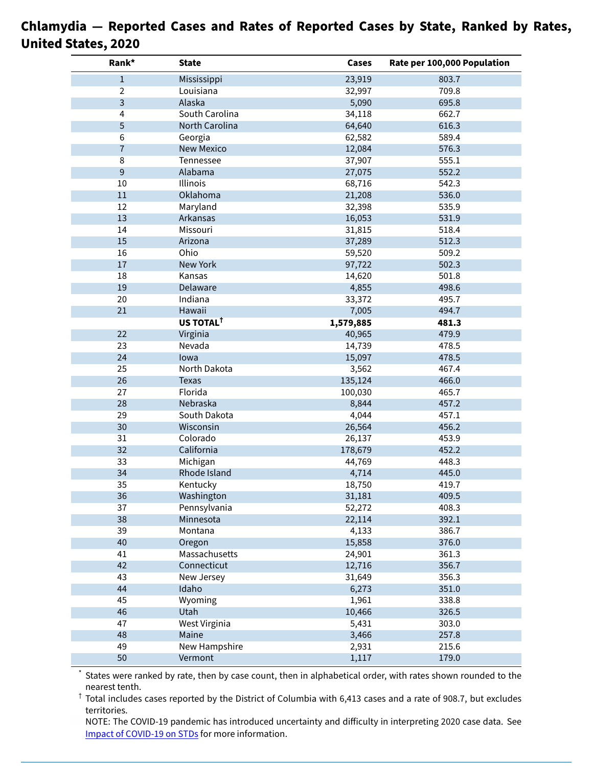| Rank*          | <b>State</b>            | Cases     | Rate per 100,000 Population |
|----------------|-------------------------|-----------|-----------------------------|
| $\mathbf{1}$   | Mississippi             | 23,919    | 803.7                       |
| 2              | Louisiana               | 32,997    | 709.8                       |
| 3              | Alaska                  | 5,090     | 695.8                       |
| 4              | South Carolina          | 34,118    | 662.7                       |
| 5              | North Carolina          | 64,640    | 616.3                       |
| 6              | Georgia                 | 62,582    | 589.4                       |
| $\overline{7}$ | <b>New Mexico</b>       | 12,084    | 576.3                       |
| 8              | Tennessee               | 37,907    | 555.1                       |
| 9              | Alabama                 | 27,075    | 552.2                       |
| 10             | Illinois                | 68,716    | 542.3                       |
| 11             | Oklahoma                | 21,208    | 536.0                       |
| 12             | Maryland                | 32,398    | 535.9                       |
| 13             | Arkansas                | 16,053    | 531.9                       |
| 14             | Missouri                | 31,815    | 518.4                       |
| 15             | Arizona                 | 37,289    | 512.3                       |
| 16             | Ohio                    | 59,520    | 509.2                       |
| $17\,$         | <b>New York</b>         | 97,722    | 502.3                       |
| 18             | Kansas                  | 14,620    | 501.8                       |
| 19             | Delaware                | 4,855     | 498.6                       |
| 20             | Indiana                 | 33,372    | 495.7                       |
| 21             | Hawaii                  | 7,005     | 494.7                       |
|                | US TOTAL <sup>T</sup>   | 1,579,885 | 481.3                       |
| 22             | Virginia                | 40,965    | 479.9                       |
| 23             | Nevada                  | 14,739    | 478.5                       |
| 24             | lowa                    |           | 478.5                       |
| 25             | North Dakota            | 15,097    | 467.4                       |
| 26             |                         | 3,562     |                             |
|                | <b>Texas</b><br>Florida | 135,124   | 466.0                       |
| 27             |                         | 100,030   | 465.7                       |
| 28             | Nebraska                | 8,844     | 457.2                       |
| 29             | South Dakota            | 4,044     | 457.1                       |
| 30             | Wisconsin               | 26,564    | 456.2                       |
| 31             | Colorado                | 26,137    | 453.9                       |
| 32             | California              | 178,679   | 452.2                       |
| 33             | Michigan                | 44,769    | 448.3                       |
| 34             | Rhode Island            | 4,714     | 445.0                       |
| 35             | Kentucky                | 18,750    | 419.7                       |
| 36             | Washington              | 31,181    | 409.5                       |
| 37             | Pennsylvania            | 52,272    | 408.3                       |
| 38             | Minnesota               | 22,114    | 392.1                       |
| 39             | Montana                 | 4,133     | 386.7                       |
| 40             | Oregon                  | 15,858    | 376.0                       |
| 41             | Massachusetts           | 24,901    | 361.3                       |
| 42             | Connecticut             | 12,716    | 356.7                       |
| 43             | New Jersey              | 31,649    | 356.3                       |
| 44             | Idaho                   | 6,273     | 351.0                       |
| 45             | Wyoming                 | 1,961     | 338.8                       |
| 46             | Utah                    | 10,466    | 326.5                       |
| 47             | West Virginia           | 5,431     | 303.0                       |
| 48             | Maine                   | 3,466     | 257.8                       |
| 49             | New Hampshire           | 2,931     | 215.6                       |
| 50             | Vermont                 | 1,117     | 179.0                       |

#### **Chlamydia — Reported Cases and Rates of Reported Cases by State, Ranked by Rates, United States, 2020**

States were ranked by rate, then by case count, then in alphabetical order, with rates shown rounded to the nearest tenth.

 $\dagger$  Total includes cases reported by the District of Columbia with 6,413 cases and a rate of 908.7, but excludes territories.

NOTE: The COVID-19 pandemic has introduced uncertainty and difficulty in interpreting 2020 case data. See Impact of [COVID-19](https://www.cdc.gov/std/statistics/2020/impact.htm) on STDs for more information.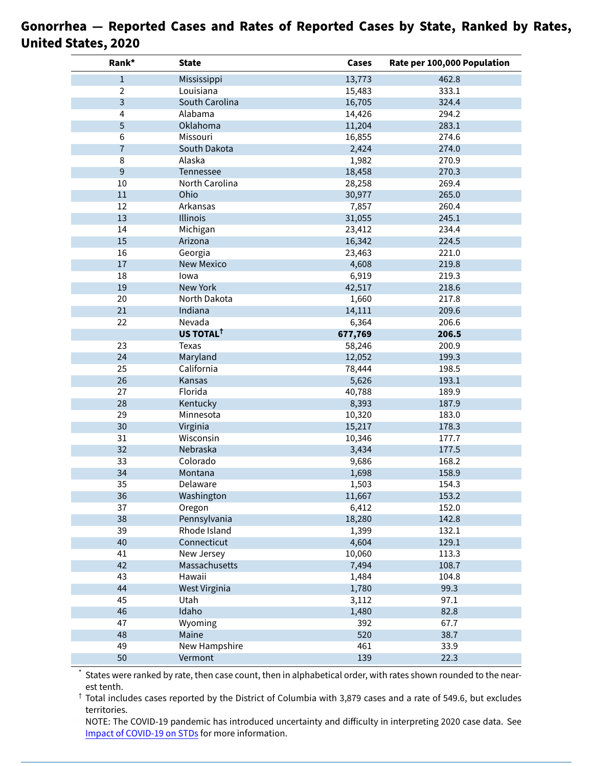| Rank*          | <b>State</b>           | Cases   | Rate per 100,000 Population |
|----------------|------------------------|---------|-----------------------------|
| $\,1$          | Mississippi            | 13,773  | 462.8                       |
| $\overline{2}$ | Louisiana              | 15,483  | 333.1                       |
| $\overline{3}$ | South Carolina         | 16,705  | 324.4                       |
| 4              | Alabama                | 14,426  | 294.2                       |
| 5              | Oklahoma               | 11,204  | 283.1                       |
| 6              | Missouri               | 16,855  | 274.6                       |
| $\overline{7}$ | South Dakota           | 2,424   | 274.0                       |
| 8              | Alaska                 | 1,982   | 270.9                       |
| $\overline{9}$ | Tennessee              | 18,458  | 270.3                       |
| 10             | North Carolina         | 28,258  | 269.4                       |
| 11             | Ohio                   | 30,977  | 265.0                       |
| 12             | Arkansas               | 7,857   | 260.4                       |
| 13             | Illinois               | 31,055  | 245.1                       |
| 14             | Michigan               | 23,412  | 234.4                       |
| 15             | Arizona                | 16,342  | 224.5                       |
| 16             | Georgia                | 23,463  | 221.0                       |
| 17             | <b>New Mexico</b>      | 4,608   | 219.8                       |
| 18             | lowa                   | 6,919   | 219.3                       |
| 19             | New York               | 42,517  | 218.6                       |
| 20             | North Dakota           | 1,660   | 217.8                       |
| 21             | Indiana                | 14,111  | 209.6                       |
| 22             | Nevada                 | 6,364   | 206.6                       |
|                | US TOTAL <sup>†</sup>  | 677,769 | 206.5                       |
| 23             | Texas                  | 58,246  | 200.9                       |
| 24             | Maryland               | 12,052  | 199.3                       |
| 25             | California             | 78,444  | 198.5                       |
| 26             | Kansas                 | 5,626   | 193.1                       |
| 27             | Florida                | 40,788  | 189.9                       |
| 28             | Kentucky               | 8,393   | 187.9                       |
| 29             | Minnesota              | 10,320  | 183.0                       |
| 30             | Virginia               | 15,217  | 178.3                       |
| 31             | Wisconsin              | 10,346  | 177.7                       |
| 32             | Nebraska               | 3,434   | 177.5                       |
| 33             | Colorado               | 9,686   | 168.2                       |
| 34             | Montana                | 1,698   | 158.9                       |
| 35             | Delaware               | 1,503   | 154.3                       |
| 36             | Washington             | 11,667  | 153.2                       |
| 37             |                        | 6,412   | 152.0                       |
|                | Oregon<br>Pennsylvania |         |                             |
| 38             | Rhode Island           | 18,280  | 142.8                       |
| 39             |                        | 1,399   | 132.1                       |
| 40             | Connecticut            | 4,604   | 129.1                       |
| 41             | New Jersey             | 10,060  | 113.3                       |
| 42             | Massachusetts          | 7,494   | 108.7                       |
| 43             | Hawaii                 | 1,484   | 104.8                       |
| 44             | West Virginia          | 1,780   | 99.3                        |
| 45             | Utah                   | 3,112   | 97.1                        |
| 46             | Idaho                  | 1,480   | 82.8                        |
| 47             | Wyoming                | 392     | 67.7                        |
| 48             | Maine                  | 520     | 38.7                        |
| 49             | <b>New Hampshire</b>   | 461     | 33.9                        |
| 50             | Vermont                | 139     | 22.3                        |

#### **Gonorrhea — Reported Cases and Rates of Reported Cases by State, Ranked by Rates, United States, 2020**

\* States were ranked by rate, then case count, then in alphabetical order, with rates shown rounded to the nearest tenth.

 $\dagger$  Total includes cases reported by the District of Columbia with 3,879 cases and a rate of 549.6, but excludes territories.

NOTE: The COVID-19 pandemic has introduced uncertainty and difficulty in interpreting 2020 case data. See [Impact of COVID-19 on STDs](https://www.cdc.gov/std/statistics/2020/impact.htm) for more information.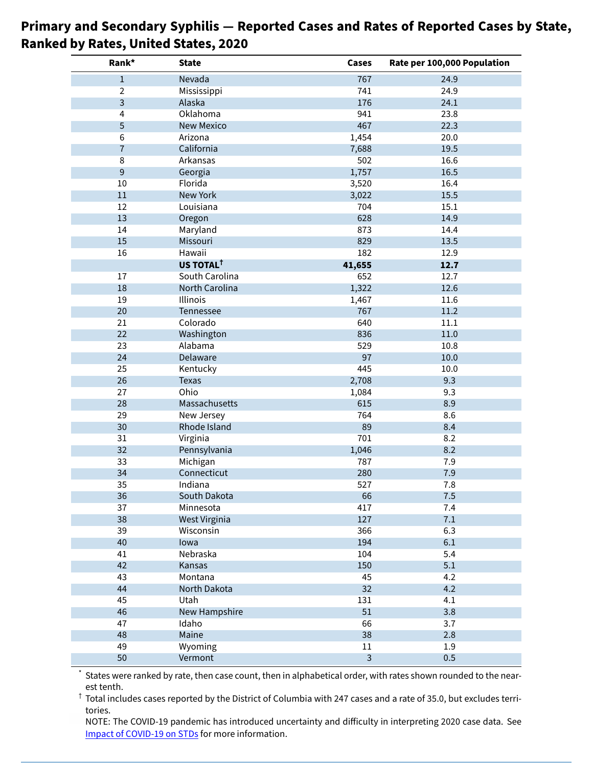| Rank*          | <b>State</b>           | Cases          | Rate per 100,000 Population |
|----------------|------------------------|----------------|-----------------------------|
| $1\,$          | Nevada                 | 767            | 24.9                        |
| $\overline{2}$ | Mississippi            | 741            | 24.9                        |
| 3              | Alaska                 | 176            | 24.1                        |
| 4              | Oklahoma               | 941            | 23.8                        |
| 5              | <b>New Mexico</b>      | 467            | 22.3                        |
| 6              | Arizona                | 1,454          | 20.0                        |
| $\overline{7}$ | California             | 7,688          | 19.5                        |
| 8              | Arkansas               | 502            | 16.6                        |
| $\overline{9}$ | Georgia                | 1,757          | 16.5                        |
| $10\,$         | Florida                | 3,520          | 16.4                        |
| $11\,$         | New York               | 3,022          | 15.5                        |
| 12             | Louisiana              | 704            | 15.1                        |
| 13             | Oregon                 | 628            | 14.9                        |
| 14             | Maryland               | 873            | 14.4                        |
| 15             | Missouri               | 829            | 13.5                        |
| 16             | Hawaii                 | 182            | 12.9                        |
|                | US TOTAL <sup>†</sup>  | 41,655         | 12.7                        |
| 17             | South Carolina         | 652            | 12.7                        |
| 18             | North Carolina         | 1,322          | 12.6                        |
| 19             | <b>Illinois</b>        | 1,467          | 11.6                        |
| 20             | Tennessee              | 767            | 11.2                        |
| 21             | Colorado               | 640            | 11.1                        |
| 22             | Washington             | 836            | 11.0                        |
| 23             | Alabama                | 529            | 10.8                        |
| 24             | Delaware               | 97             | 10.0                        |
| 25             | Kentucky               | 445            | 10.0                        |
| 26             | <b>Texas</b>           | 2,708          | 9.3                         |
| 27             | Ohio                   | 1,084          | 9.3                         |
| 28             | Massachusetts          | 615            | 8.9                         |
| 29             | New Jersey             | 764            | 8.6                         |
| 30             | Rhode Island           | 89             | 8.4                         |
| 31             | Virginia               | 701            | 8.2                         |
| 32             | Pennsylvania           | 1,046          | 8.2                         |
| 33             | Michigan               | 787            | 7.9                         |
| 34             | Connecticut            | 280            | 7.9                         |
| 35             | Indiana                | 527            | $\frac{1}{8}$               |
| 36             | South Dakota           | 66             | 7.5                         |
| 37             | Minnesota              | 417            | 7.4                         |
| 38             | West Virginia          | 127            | 7.1                         |
| 39             | Wisconsin              | 366            | 6.3                         |
| 40             | lowa                   | 194            | 6.1                         |
| 41             | Nebraska               | 104            | 5.4                         |
| 42             | Kansas                 | 150            | 5.1                         |
| 43             | Montana                | 45             | 4.2                         |
| 44             | North Dakota           | 32             | 4.2                         |
| 45             | Utah                   | 131            | 4.1                         |
| 46             |                        | 51             | 3.8                         |
| 47             | New Hampshire<br>Idaho | 66             | 3.7                         |
|                |                        |                |                             |
| 48<br>49       | Maine                  | 38             | 2.8                         |
|                | Wyoming                | 11             | 1.9                         |
| 50             | Vermont                | $\overline{3}$ | 0.5                         |

#### **Primary and Secondary Syphilis — Reported Cases and Rates of Reported Cases by State, Ranked by Rates, United States, 2020**

States were ranked by rate, then case count, then in alphabetical order, with rates shown rounded to the nearest tenth.

 $\dagger$  Total includes cases reported by the District of Columbia with 247 cases and a rate of 35.0, but excludes territories.

NOTE: The COVID-19 pandemic has introduced uncertainty and difficulty in interpreting 2020 case data. See Impact of [COVID-19](https://www.cdc.gov/std/statistics/2020/impact.htm) on STDs for more information.